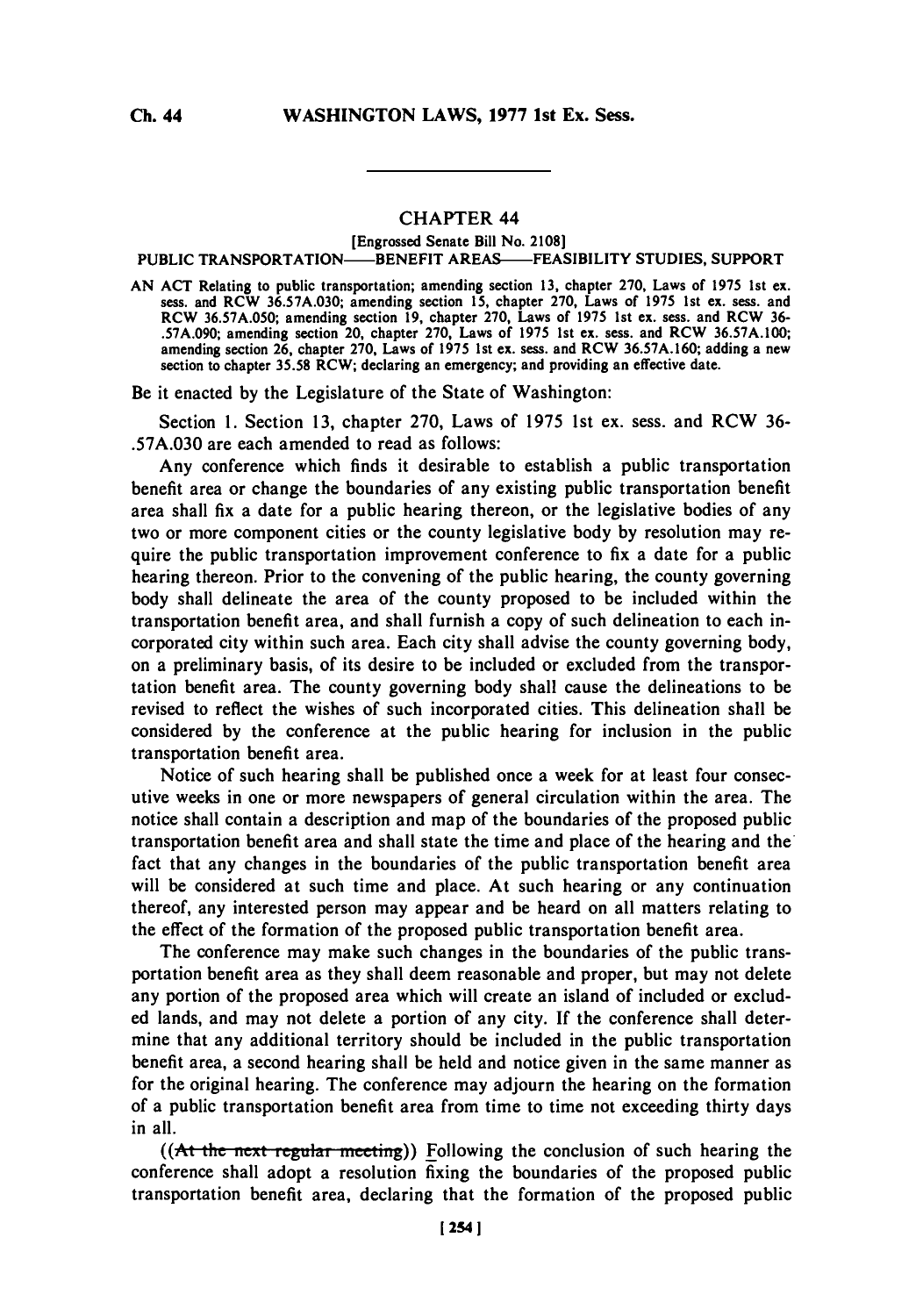## CHAPTER 44

## [Engrossed Senate Bill No. **2108]**

## PUBLIC TRANSPORTATION—BENEFIT AREAS—FEASIBILITY STUDIES, SUPPORT

**AN ACT** Relating to public transportation; amending section **13,** chapter **270,** Laws of **1975** 1st **ex.** sess. and RCW **36.57A.030;** amending section **15,** chapter **270,** Laws of **1975** Ist ex. sess. and RCW **36.57A.050;** amending section **19,** chapter **270,** Laws of **1975** 1st ex. sess. and RCW **36- .57A.090;** amending section 20, chapter **270,** Laws of **1975** 1st ex. sess. and RCW **36.57A.100;** amending section **26,** chapter **270,** Laws of **1975** 1st ex. sess. and RCW **36.57A.160;** adding a new section to chapter **35.58** RCW; declaring an emergency; and providing an effective date.

Be it enacted **by** the Legislature of the State of Washington:

Section **1.** Section **13,** chapter **270,** Laws of *1975* 1st ex. sess. and RCW **36- .57A.030** are each amended to read as follows:

Any conference which finds it desirable to establish a public transportation benefit area or change the boundaries of any existing public transportation benefit area shall fix a date for a public hearing thereon, or the legislative bodies of any two or more component cities or the county legislative body **by** resolution may require the public transportation improvement conference to fix a date for a public hearing thereon. Prior to the convening of the public hearing, the county governing body shall delineate the area of the county proposed to be included within the transportation benefit area, and shall furnish a copy of such delineation to each incorporated city within such area. Each city shall advise the county governing body, on a preliminary basis, of its desire to be included or excluded from the transportation benefit area. The county governing body shall cause the delineations to be revised to reflect the wishes of such incorporated cities. This delineation shall be considered **by** the conference at the public hearing for inclusion in the public transportation benefit area.

Notice of such hearing shall be published once a week for at least four consecutive weeks in one or more newspapers of general circulation within the area. The notice shall contain a description and map of the boundaries of the proposed public transportation benefit area and shall state the time and place of the hearing and the fact that any changes in the boundaries of the public transportation benefit area will be considered at such time and place. At such hearing or any continuation thereof, any interested person may appear and be heard on all matters relating to the effect of the formation of the proposed public transportation benefit area.

The conference may make such changes in the boundaries of the public transportation benefit area as they shall deem reasonable and proper, but may not delete any portion of the proposed area which will create an island of included or excluded lands, and may not delete a portion of any city. If the conference shall determine that any additional territory should be included in the public transportation benefit area, a second hearing shall be held and notice given in the same manner as for the original hearing. The conference may adjourn the hearing on the formation of a public transportation benefit area from time to time not exceeding thirty days in all.

((At the next regular meeting)) Following the conclusion of such hearing the conference shall adopt a resolution fixing the boundaries of the proposed public transportation benefit area, declaring that the formation of the proposed public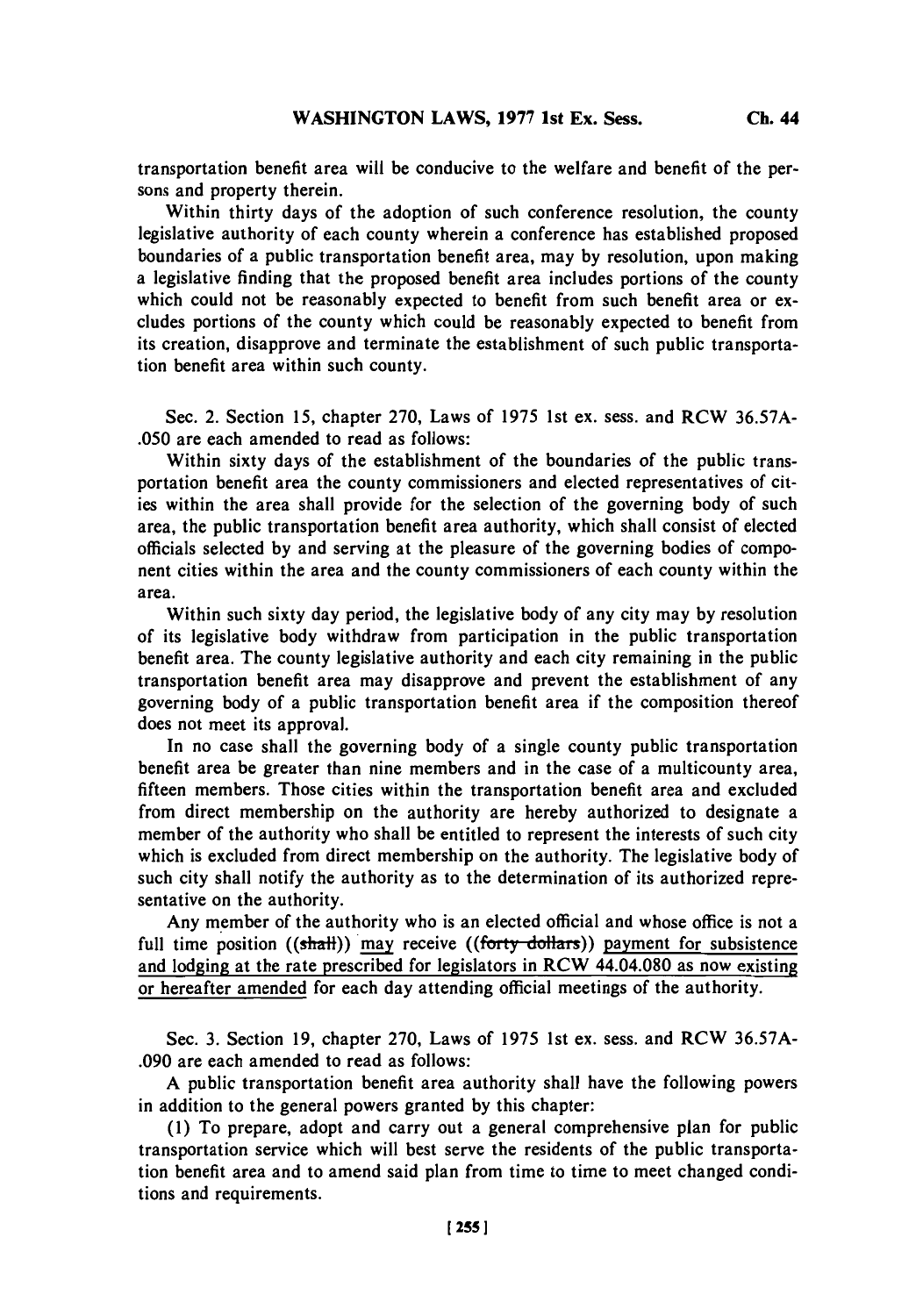Within thirty days of the adoption of such conference resolution, the county legislative authority of each county wherein a conference has established proposed boundaries of a public transportation benefit area, may **by** resolution, upon making a legislative finding that the proposed benefit area includes portions of the county which could not be reasonably expected to benefit from such benefit area or excludes portions of the county which could be reasonably expected to benefit from its creation, disapprove and terminate the establishment of such public transportation benefit area within such county.

Sec. 2. Section **15,** chapter **270,** Laws of **1975** 1st ex. sess. and RCW **36.57A- .050** are each amended to read as follows:

Within sixty days of the establishment of the boundaries of the public transportation benefit area the county commissioners and elected representatives of cities within the area shall provide for the selection of the governing body of such area, the public transportation benefit area authority, which shall consist of elected officials selected **by** and serving at the pleasure of the governing bodies of component cities within the area and the county commissioners of each county within the area.

Within such sixty day period, the legislative body of any city may **by** resolution of its legislative body withdraw from participation in the public transportation benefit area. The county legislative authority and each city remaining in the public transportation benefit area may disapprove and prevent the establishment of any governing body of a public transportation benefit area if the composition thereof does not meet its approval.

In no case shall the governing body of a single county public transportation benefit area be greater than nine members and in the case of a multicounty area, fifteen members. Those cities within the transportation benefit area and excluded from direct membership on the authority are hereby authorized to designate a member of the authority who shall be entitled to represent the interests of such city which is excluded from direct membership on the authority. The legislative body of such city shall notify the authority as to the determination of its authorized representative on the authority.

Any member of the authority who is an elected official and whose office is not a full time position  $((shath))$  may receive  $((forty-dollars))$  payment for subsistence and lodging at the rate prescribed for legislators in RCW 44.04.080 as now existing or hereafter amended for each day attending official meetings of the authority.

Sec. **3.** Section **19,** chapter **270,** Laws of **1975** 1st ex. sess. and RCW *36.57A-* **.090** are each amended to read as follows:

**A** public transportation benefit area authority shall have the following powers in addition to the general powers granted **by** this chapter:

**(1)** To prepare, adopt and carry out a general comprehensive plan for public transportation service which will best serve the residents of the public transportation benefit area and to amend said plan from time to time to meet changed conditions and requirements.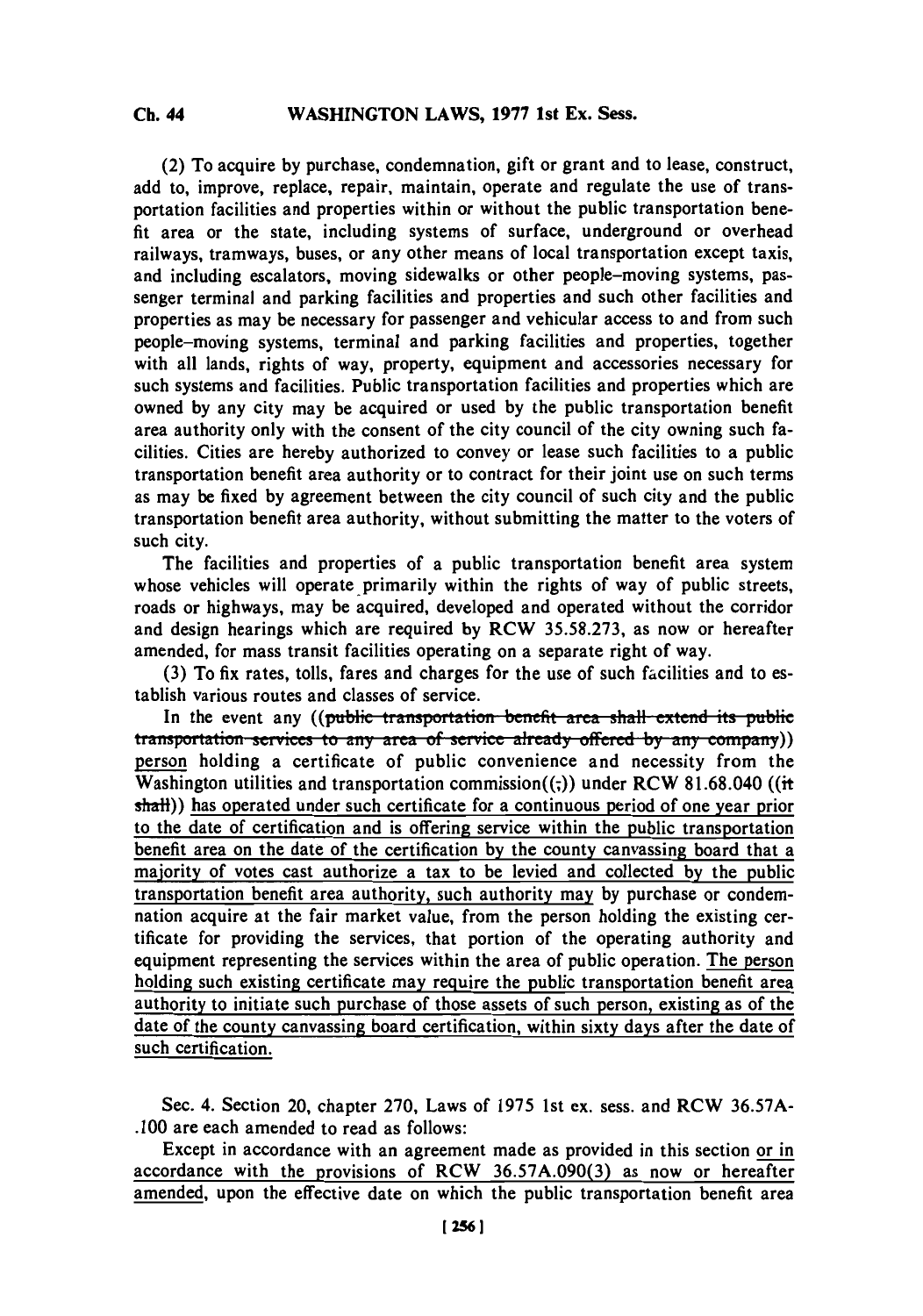**(2) To** acquire **by** purchase, condemnation, gift or grant and to lease, construct, add to, improve, replace, repair, maintain, operate and regulate the use of transportation facilities and properties within or without the public transportation benefit area or the state, including systems of surface, underground or overhead railways, tramways, buses, or any other means of local transportation except taxis, and including escalators, moving sidewalks or other people-moving systems, passenger terminal and parking facilities and properties and such other facilities and properties as may be necessary for passenger and vehicular access to and from such people-moving systems, terminal and parking facilities and properties, together with all lands, rights of way, property, equipment and accessories necessary for such systems and facilities. Public transportation facilities and properties which are owned **by** any city may be acquired or used **by** the public transportation benefit area authority only with the consent of the city council of the city owning such facilities. Cities are hereby authorized to convey or lease such facilities to a public transportation benefit area authority or to contract for their joint use on such terms as may be fixed **by** agreement between the city council of such city and the public transportation benefit area authority, without submitting the matter to the voters of such city.

The facilities and properties of a public transportation benefit area system whose vehicles will operate primarily within the rights of way of public streets, roads or highways, may be acquired, developed and operated without the corridor and design hearings which are required **by RCW 35.58.273,** as now or hereafter amended, for mass transit facilities operating on a separate right of way.

**(3)** To fix rates, tolls, fares and charges for the use of such facilities and to establish various routes and classes of service.

In the event any ((public transportation benefit area shall extend its public **haizs haize haizes** *h any area of service already offered by any company))* person holding a certificate of public convenience and necessity from the Washington utilities and transportation commission((-)) under RCW 81.68.040 ((it  $s$ halt)) has operated under such certificate for a continuous period of one year prior to the date of certification and is offering service within the public transportation benefit area on the date of the certification **by** the county canvassing board that a majority of votes cast authorize a tax to be levied and collected **by** the public transportation benefit area authority, such authority may **by** purchase or condemnation acquire at the fair market value, from the person holding the existing certificate for providing the services, that portion of the operating authority and equipment representing the services within the area of public operation. The person holding such existing certificate may require the public transportation benefit area authority to initiate such purchase of those assets of such person, existing as of the date of the county canvassing board certification, within sixty days after the date of such certification.

Sec. 4. Section 20, chapter **270,** Laws of **1975** 1st ex. sess. and RCW **36.57A- .100** are each amended to read as follows:

Except in accordance with an agreement made as provided in this section or in accordance with the provisions of RCW **36.57A.090(3)** as now or hereafter amended, upon the effective date on which the public transportation benefit area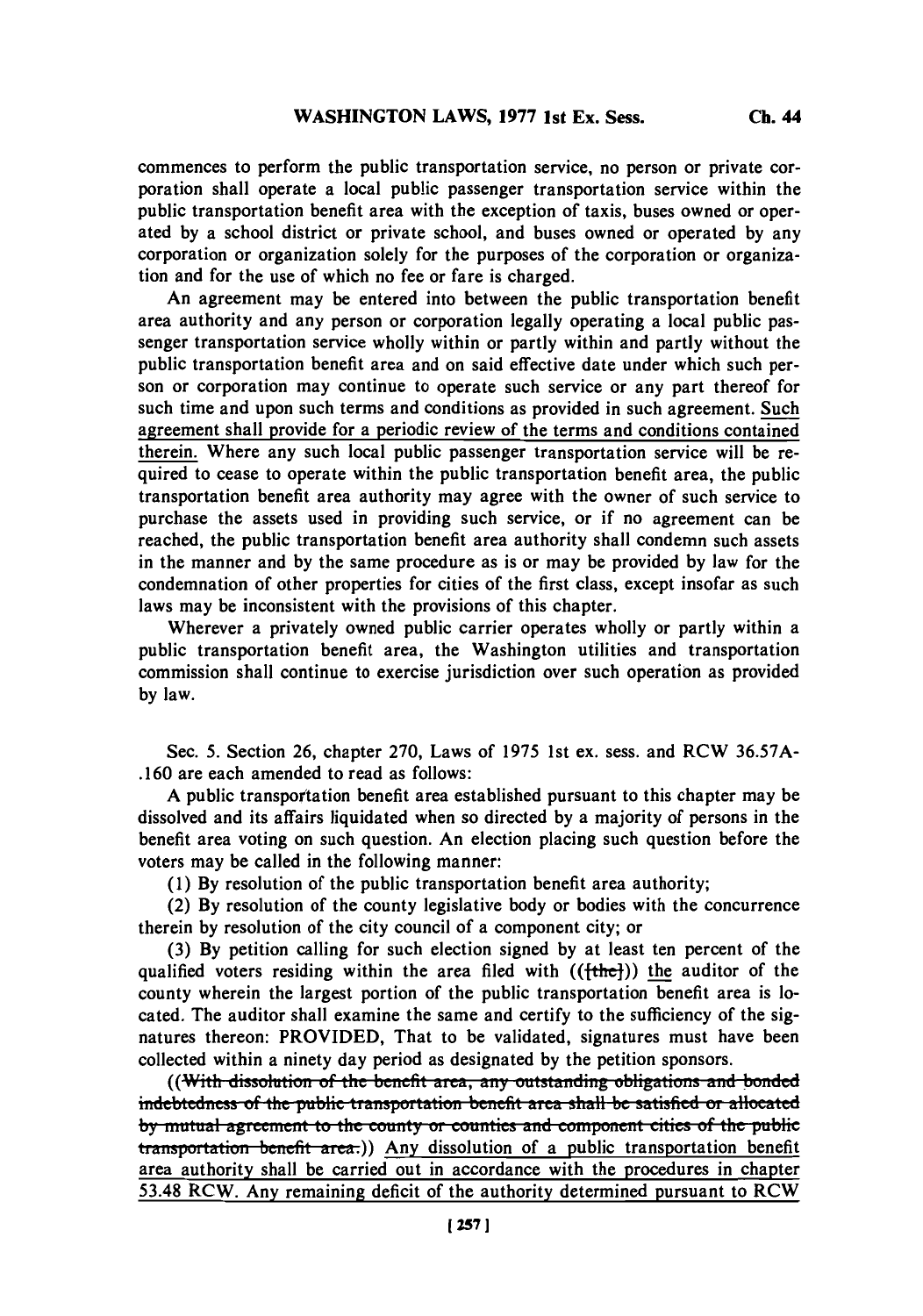commences to perform the public transportation service, no person or private corporation shall operate a local public passenger transportation service within the public transportation benefit area with the exception of taxis, buses owned or operated **by** a school district or private school, and buses owned or operated **by** any corporation or organization solely for the purposes of the corporation or organization and for the use of which no fee or fare is charged.

An agreement may be entered into between the public transportation benefit area authority and any person or corporation legally operating a local public passenger transportation service wholly within or partly within and partly without the public transportation benefit area and on said effective date under which such person or corporation may continue to operate such service or any part thereof for such time and upon such terms and conditions as provided in such agreement. Such agreement shall provide for a periodic review of the terms and conditions contained therein. Where any such local public passenger transportation service will be required to cease to operate within the public transportation benefit area, the public transportation benefit area authority may agree with the owner of such service to purchase the assets used in providing such service, or if no agreement can be reached, the public transportation benefit area authority shall condemn such assets in the manner and **by** the same procedure as is or may be provided **by** law for the condemnation of other properties for cities of the first class, except insofar as such laws may be inconsistent with the provisions of this chapter.

Wherever a privately owned public carrier operates wholly or partly within a public transportation benefit area, the Washington utilities and transportation commission shall continue to exercise jurisdiction over such operation as provided **by** law.

Sec. *5.* Section **26,** chapter **270,** Laws of *1975* 1st ex. sess. and RCW *36.57A-* **.160** are each amended to read as follows:

**A** public transportation benefit area established pursuant to this chapter may be dissolved and its affairs liquidated when so directed **by** a majority of persons in the benefit area voting on such question. An election placing such question before the voters may be called in the following manner:

**(1) By** resolution of the public transportation benefit area authority;

(2) **By** resolution of the county legislative body or bodies with the concurrence therein **by** resolution of the city council of a component city; or

**(3) By** petition calling for such election signed **by** at least ten percent of the qualified voters residing within the area filed with  $((\text{fthe-})$ ) the auditor of the county wherein the largest portion of the public transportation benefit area is located. The auditor shall examine the same and certify to the sufficiency of the signatures thereon: PROVIDED, That to be validated, signatures must have been collected within a ninety day period as designated **by** the petition sponsors.

((With dissolution of the benefit area, any outstanding obligations and bonded indebtedness of the public transportation benefit area shall be satisfied or allocated by mutual agreement to the county or counties and component cities of the public **transportation benefit area.)** Any dissolution of a public transportation benefit area authority shall be carried out in accordance with the procedures in chapter *53.48* RCW. Any remaining deficit of the authority determined pursuant to RCW